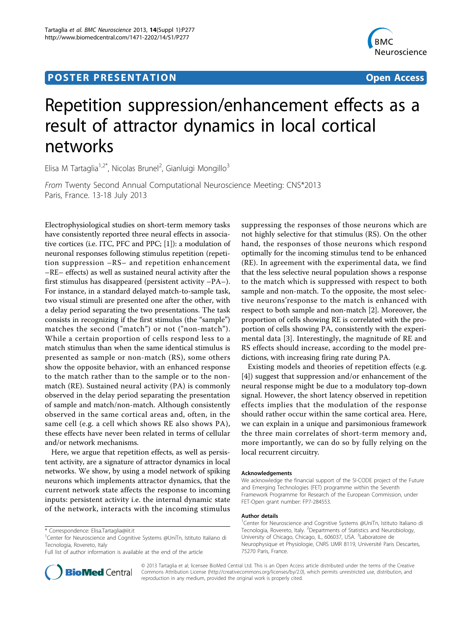# **POSTER PRESENTATION CONSUMING THE SERVICE SERVICE SERVICES**



# Repetition suppression/enhancement effects as a result of attractor dynamics in local cortical networks

Elisa M Tartaglia<sup>1,2\*</sup>, Nicolas Brunel<sup>2</sup>, Gianluigi Mongillo<sup>3</sup>

From Twenty Second Annual Computational Neuroscience Meeting: CNS\*2013 Paris, France. 13-18 July 2013

Electrophysiological studies on short-term memory tasks have consistently reported three neural effects in associative cortices (i.e. ITC, PFC and PPC; [[1\]](#page-1-0)): a modulation of neuronal responses following stimulus repetition (repetition suppression –RS– and repetition enhancement –RE– effects) as well as sustained neural activity after the first stimulus has disappeared (persistent activity –PA–). For instance, in a standard delayed match-to-sample task, two visual stimuli are presented one after the other, with a delay period separating the two presentations. The task consists in recognizing if the first stimulus (the "sample") matches the second ("match") or not ("non-match"). While a certain proportion of cells respond less to a match stimulus than when the same identical stimulus is presented as sample or non-match (RS), some others show the opposite behavior, with an enhanced response to the match rather than to the sample or to the nonmatch (RE). Sustained neural activity (PA) is commonly observed in the delay period separating the presentation of sample and match/non-match. Although consistently observed in the same cortical areas and, often, in the same cell (e.g. a cell which shows RE also shows PA), these effects have never been related in terms of cellular and/or network mechanisms.

Here, we argue that repetition effects, as well as persistent activity, are a signature of attractor dynamics in local networks. We show, by using a model network of spiking neurons which implements attractor dynamics, that the current network state affects the response to incoming inputs: persistent activity i.e. the internal dynamic state of the network, interacts with the incoming stimulus

Full list of author information is available at the end of the article



suppressing the responses of those neurons which are not highly selective for that stimulus (RS). On the other hand, the responses of those neurons which respond optimally for the incoming stimulus tend to be enhanced (RE). In agreement with the experimental data, we find that the less selective neural population shows a response to the match which is suppressed with respect to both sample and non-match. To the opposite, the most selective neurons'response to the match is enhanced with respect to both sample and non-match [\[2](#page-1-0)]. Moreover, the proportion of cells showing RE is correlated with the proportion of cells showing PA, consistently with the experimental data [[3](#page-1-0)]. Interestingly, the magnitude of RE and RS effects should increase, according to the model predictions, with increasing firing rate during PA.

Existing models and theories of repetition effects (e.g. [[4\]](#page-1-0)) suggest that suppression and/or enhancement of the neural response might be due to a modulatory top-down signal. However, the short latency observed in repetition effects implies that the modulation of the response should rather occur within the same cortical area. Here, we can explain in a unique and parsimonious framework the three main correlates of short-term memory and, more importantly, we can do so by fully relying on the local recurrent circuitry.

#### Acknowledgements

We acknowledge the financial support of the SI-CODE project of the Future and Emerging Technologies (FET) programme within the Seventh Framework Programme for Research of the European Commission, under FET-Open grant number: FP7-284553.

## Author details

<sup>1</sup> Center for Neuroscience and Cognitive Systems @UniTn, Istituto Italiano di Tecnologia, Rovereto, Italy. <sup>2</sup>Departments of Statistics and Neurobiology University of Chicago, Chicago, IL, 606037, USA. <sup>3</sup>Laboratoire de Neurophysique et Physiologie, CNRS UMR 8119, Université Paris Descartes, 75270 Paris, France.

© 2013 Tartaglia et al; licensee BioMed Central Ltd. This is an Open Access article distributed under the terms of the Creative Commons Attribution License [\(http://creativecommons.org/licenses/by/2.0](http://creativecommons.org/licenses/by/2.0)), which permits unrestricted use, distribution, and reproduction in any medium, provided the original work is properly cited.

<sup>\*</sup> Correspondence: [Elisa.Tartaglia@iit.it](mailto:Elisa.Tartaglia@iit.it)

<sup>&</sup>lt;sup>1</sup>Center for Neuroscience and Cognitive Systems @UniTn, Istituto Italiano di Tecnologia, Rovereto, Italy